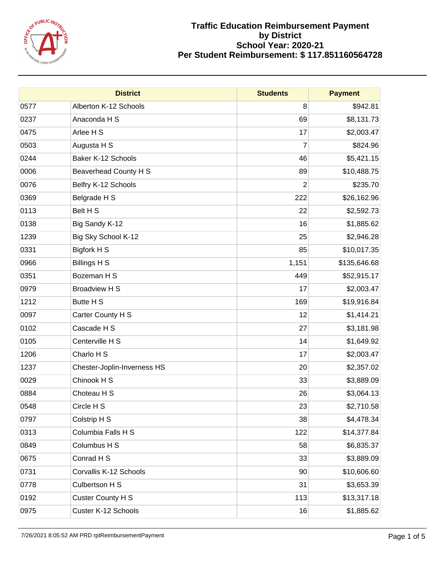

|      | <b>District</b>             | <b>Students</b> | <b>Payment</b> |
|------|-----------------------------|-----------------|----------------|
| 0577 | Alberton K-12 Schools       | 8               | \$942.81       |
| 0237 | Anaconda H S                | 69              | \$8,131.73     |
| 0475 | Arlee H S                   | 17              | \$2,003.47     |
| 0503 | Augusta H S                 | $\overline{7}$  | \$824.96       |
| 0244 | Baker K-12 Schools          | 46              | \$5,421.15     |
| 0006 | Beaverhead County H S       | 89              | \$10,488.75    |
| 0076 | Belfry K-12 Schools         | $\overline{2}$  | \$235.70       |
| 0369 | Belgrade H S                | 222             | \$26,162.96    |
| 0113 | Belt H S                    | 22              | \$2,592.73     |
| 0138 | Big Sandy K-12              | 16              | \$1,885.62     |
| 1239 | Big Sky School K-12         | 25              | \$2,946.28     |
| 0331 | Bigfork H S                 | 85              | \$10,017.35    |
| 0966 | <b>Billings H S</b>         | 1,151           | \$135,646.68   |
| 0351 | Bozeman H S                 | 449             | \$52,915.17    |
| 0979 | <b>Broadview H S</b>        | 17              | \$2,003.47     |
| 1212 | Butte H S                   | 169             | \$19,916.84    |
| 0097 | Carter County H S           | 12              | \$1,414.21     |
| 0102 | Cascade H S                 | 27              | \$3,181.98     |
| 0105 | Centerville H S             | 14              | \$1,649.92     |
| 1206 | Charlo H S                  | 17              | \$2,003.47     |
| 1237 | Chester-Joplin-Inverness HS | 20              | \$2,357.02     |
| 0029 | Chinook H S                 | 33              | \$3,889.09     |
| 0884 | Choteau H S                 | 26              | \$3,064.13     |
| 0548 | Circle H S                  | 23              | \$2,710.58     |
| 0797 | Colstrip H S                | 38              | \$4,478.34     |
| 0313 | Columbia Falls H S          | 122             | \$14,377.84    |
| 0849 | Columbus H S                | 58              | \$6,835.37     |
| 0675 | Conrad H S                  | 33              | \$3,889.09     |
| 0731 | Corvallis K-12 Schools      | 90              | \$10,606.60    |
| 0778 | Culbertson H S              | 31              | \$3,653.39     |
| 0192 | Custer County H S           | 113             | \$13,317.18    |
| 0975 | Custer K-12 Schools         | 16              | \$1,885.62     |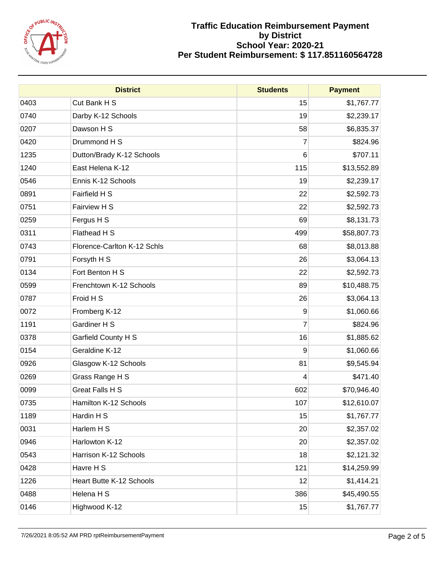

|      | <b>District</b>             | <b>Students</b> | <b>Payment</b> |
|------|-----------------------------|-----------------|----------------|
| 0403 | Cut Bank H S                | 15              | \$1,767.77     |
| 0740 | Darby K-12 Schools          | 19              | \$2,239.17     |
| 0207 | Dawson H S                  | 58              | \$6,835.37     |
| 0420 | Drummond H S                | 7               | \$824.96       |
| 1235 | Dutton/Brady K-12 Schools   | $6\phantom{1}6$ | \$707.11       |
| 1240 | East Helena K-12            | 115             | \$13,552.89    |
| 0546 | Ennis K-12 Schools          | 19              | \$2,239.17     |
| 0891 | Fairfield H S               | 22              | \$2,592.73     |
| 0751 | Fairview H S                | 22              | \$2,592.73     |
| 0259 | Fergus H S                  | 69              | \$8,131.73     |
| 0311 | Flathead H S                | 499             | \$58,807.73    |
| 0743 | Florence-Carlton K-12 Schls | 68              | \$8,013.88     |
| 0791 | Forsyth H S                 | 26              | \$3,064.13     |
| 0134 | Fort Benton H S             | 22              | \$2,592.73     |
| 0599 | Frenchtown K-12 Schools     | 89              | \$10,488.75    |
| 0787 | Froid H S                   | 26              | \$3,064.13     |
| 0072 | Fromberg K-12               | 9               | \$1,060.66     |
| 1191 | Gardiner H S                | $\overline{7}$  | \$824.96       |
| 0378 | Garfield County H S         | 16              | \$1,885.62     |
| 0154 | Geraldine K-12              | 9               | \$1,060.66     |
| 0926 | Glasgow K-12 Schools        | 81              | \$9,545.94     |
| 0269 | Grass Range H S             | 4               | \$471.40       |
| 0099 | <b>Great Falls H S</b>      | 602             | \$70,946.40    |
| 0735 | Hamilton K-12 Schools       | 107             | \$12,610.07    |
| 1189 | Hardin H S                  | 15              | \$1,767.77     |
| 0031 | Harlem H S                  | 20              | \$2,357.02     |
| 0946 | Harlowton K-12              | 20              | \$2,357.02     |
| 0543 | Harrison K-12 Schools       | 18              | \$2,121.32     |
| 0428 | Havre H S                   | 121             | \$14,259.99    |
| 1226 | Heart Butte K-12 Schools    | 12              | \$1,414.21     |
| 0488 | Helena H S                  | 386             | \$45,490.55    |
| 0146 | Highwood K-12               | 15              | \$1,767.77     |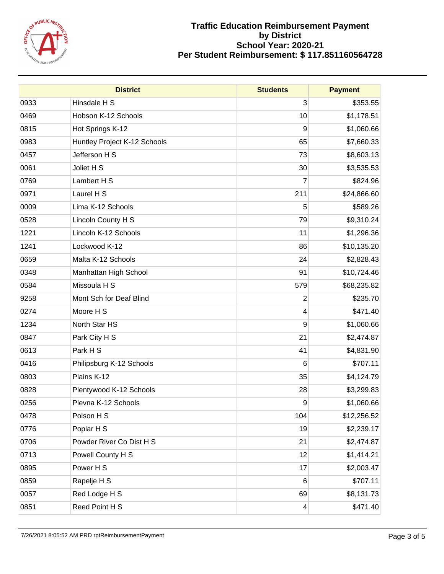

|      | <b>District</b>              | <b>Students</b> | <b>Payment</b> |
|------|------------------------------|-----------------|----------------|
| 0933 | Hinsdale H S                 | 3               | \$353.55       |
| 0469 | Hobson K-12 Schools          | 10              | \$1,178.51     |
| 0815 | Hot Springs K-12             | 9               | \$1,060.66     |
| 0983 | Huntley Project K-12 Schools | 65              | \$7,660.33     |
| 0457 | Jefferson H S                | 73              | \$8,603.13     |
| 0061 | Joliet H S                   | 30              | \$3,535.53     |
| 0769 | Lambert H S                  | 7               | \$824.96       |
| 0971 | Laurel H S                   | 211             | \$24,866.60    |
| 0009 | Lima K-12 Schools            | 5               | \$589.26       |
| 0528 | Lincoln County H S           | 79              | \$9,310.24     |
| 1221 | Lincoln K-12 Schools         | 11              | \$1,296.36     |
| 1241 | Lockwood K-12                | 86              | \$10,135.20    |
| 0659 | Malta K-12 Schools           | 24              | \$2,828.43     |
| 0348 | Manhattan High School        | 91              | \$10,724.46    |
| 0584 | Missoula H S                 | 579             | \$68,235.82    |
| 9258 | Mont Sch for Deaf Blind      | $\overline{2}$  | \$235.70       |
| 0274 | Moore H S                    | 4               | \$471.40       |
| 1234 | North Star HS                | 9               | \$1,060.66     |
| 0847 | Park City H S                | 21              | \$2,474.87     |
| 0613 | Park H S                     | 41              | \$4,831.90     |
| 0416 | Philipsburg K-12 Schools     | 6               | \$707.11       |
| 0803 | Plains K-12                  | 35              | \$4,124.79     |
| 0828 | Plentywood K-12 Schools      | 28              | \$3,299.83     |
| 0256 | Plevna K-12 Schools          | 9               | \$1,060.66     |
| 0478 | Polson H S                   | 104             | \$12,256.52    |
| 0776 | Poplar H S                   | 19              | \$2,239.17     |
| 0706 | Powder River Co Dist H S     | 21              | \$2,474.87     |
| 0713 | Powell County H S            | 12              | \$1,414.21     |
| 0895 | Power H S                    | 17              | \$2,003.47     |
| 0859 | Rapelje H S                  | 6               | \$707.11       |
| 0057 | Red Lodge H S                | 69              | \$8,131.73     |
| 0851 | Reed Point H S               | 4               | \$471.40       |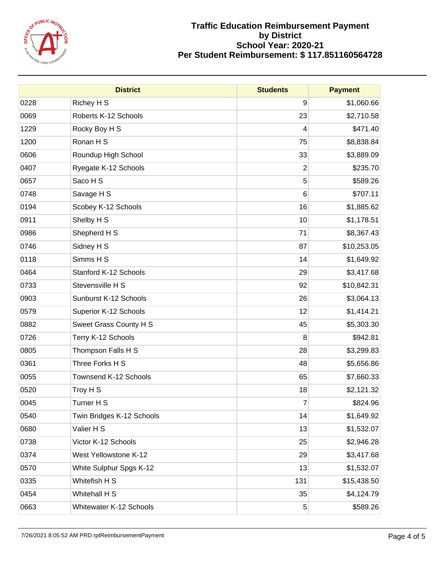

|      | <b>District</b>              | <b>Students</b> | <b>Payment</b> |
|------|------------------------------|-----------------|----------------|
| 0228 | Richey H S                   | 9               | \$1,060.66     |
| 0069 | Roberts K-12 Schools         | 23              | \$2,710.58     |
| 1229 | Rocky Boy H S                | 4               | \$471.40       |
| 1200 | Ronan H S                    | 75              | \$8,838.84     |
| 0606 | Roundup High School          | 33              | \$3,889.09     |
| 0407 | Ryegate K-12 Schools         | $\overline{2}$  | \$235.70       |
| 0657 | Saco H S                     | 5               | \$589.26       |
| 0748 | Savage H S                   | 6               | \$707.11       |
| 0194 | Scobey K-12 Schools          | 16              | \$1,885.62     |
| 0911 | Shelby H S                   | 10              | \$1,178.51     |
| 0986 | Shepherd H S                 | 71              | \$8,367.43     |
| 0746 | Sidney H S                   | 87              | \$10,253.05    |
| 0118 | Simms H S                    | 14              | \$1,649.92     |
| 0464 | Stanford K-12 Schools        | 29              | \$3,417.68     |
| 0733 | Stevensville H S             | 92              | \$10,842.31    |
| 0903 | Sunburst K-12 Schools        | 26              | \$3,064.13     |
| 0579 | Superior K-12 Schools        | 12              | \$1,414.21     |
| 0882 | Sweet Grass County H S       | 45              | \$5,303.30     |
| 0726 | Terry K-12 Schools           | 8               | \$942.81       |
| 0805 | Thompson Falls H S           | 28              | \$3,299.83     |
| 0361 | Three Forks H S              | 48              | \$5,656.86     |
| 0055 | Townsend K-12 Schools        | 65              | \$7,660.33     |
| 0520 | Troy H S                     | 18              | \$2,121.32     |
| 0045 | Turner H S                   | $\overline{7}$  | \$824.96       |
| 0540 | Twin Bridges K-12 Schools    | 14              | \$1,649.92     |
| 0680 | Valier H S                   | 13              | \$1,532.07     |
| 0738 | Victor K-12 Schools          | 25              | \$2,946.28     |
| 0374 | <b>West Yellowstone K-12</b> | 29              | \$3,417.68     |
| 0570 | White Sulphur Spgs K-12      | 13              | \$1,532.07     |
| 0335 | Whitefish H S                | 131             | \$15,438.50    |
| 0454 | Whitehall H S                | 35              | \$4,124.79     |
| 0663 | Whitewater K-12 Schools      | 5               | \$589.26       |